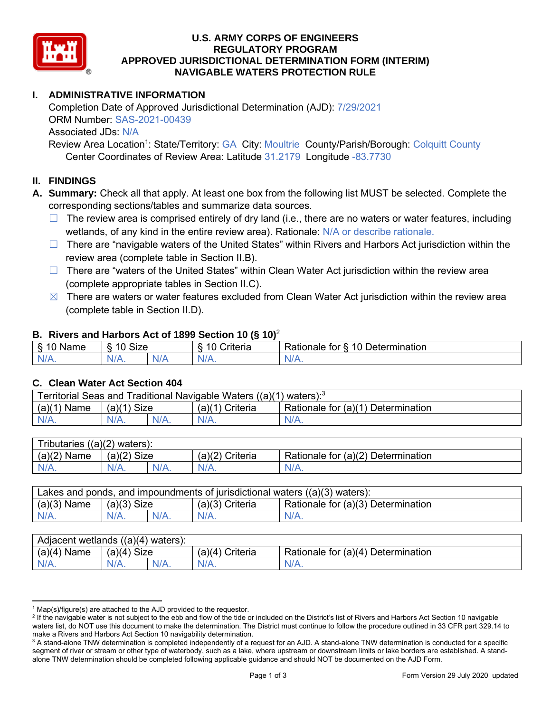

# **U.S. ARMY CORPS OF ENGINEERS APPROVED JURISDICTIONAL DETERMINATION FORM (INTERIM) NAVIGABLE WATERS PROTECTION RULE REGULATORY PROGRAM**

# **I. ADMINISTRATIVE INFORMATION**

Completion Date of Approved Jurisdictional Determination (AJD): 7/29/2021 ORM Number: SAS-2021-00439 Associated JDs: N/A

 Center Coordinates of Review Area: Latitude 31.2179 Longitude -83.7730 Review Area Location<sup>1</sup>: State/Territory: GA City: Moultrie County/Parish/Borough: Colquitt County

### **II. FINDINGS**

 **A. Summary:** Check all that apply. At least one box from the following list MUST be selected. Complete the corresponding sections/tables and summarize data sources.

- □ The review area is comprised entirely of dry land (i.e., there are no waters or water features, including wetlands, of any kind in the entire review area). Rationale: N/A or describe rationale.
- □ There are "navigable waters of the United States" within Rivers and Harbors Act jurisdiction within the review area (complete table in Section II.B).
- □ There are "waters of the United States" within Clean Water Act jurisdiction within the review area (complete appropriate tables in Section II.C).
- $\boxtimes$  There are waters or water features excluded from Clean Water Act jurisdiction within the review area (complete table in Section II.D).

#### **B. Rivers and Harbors Act of 1899 Section 10 (§ 10)**<sup>2</sup>

| $\sim$<br>$\sqrt{2}$<br>Name<br>°<br>یا∵<br>o | 10<br>Size          |                      | . .<br>`rıtarıa<br>ιθπε   | $\overline{A}$<br>∽<br>Determination<br>tor<br>tionale: |
|-----------------------------------------------|---------------------|----------------------|---------------------------|---------------------------------------------------------|
| NI<br>97 / TV .                               | $\Delta U^r$<br>17. | $\blacksquare$<br>N. | <b><i><u>ALLA</u></i></b> | $N/A$ .                                                 |

#### **C. Clean Water Act Section 404**

| Territorial Seas and Traditional Navigable Waters $((a)(1)$ waters): <sup>3</sup> |               |  |                 |                                    |  |  |
|-----------------------------------------------------------------------------------|---------------|--|-----------------|------------------------------------|--|--|
| $(a)(1)$ Name                                                                     | $(a)(1)$ Size |  | (a)(1) Criteria | Rationale for (a)(1) Determination |  |  |
|                                                                                   | N/A.          |  | $N/A$ .         | $N/A$ .                            |  |  |

| Tributaries $((a)(2)$ waters): |               |         |                   |                                    |
|--------------------------------|---------------|---------|-------------------|------------------------------------|
| $(a)(2)$ Name                  | $(a)(2)$ Size |         | $(a)(2)$ Criteria | Rationale for (a)(2) Determination |
| $N/A$ .                        | $N/A$ .       | $N/A$ . | $N/A$ .           | N/A.                               |
|                                |               |         |                   |                                    |

| Lakes and ponds, and impoundments of jurisdictional waters $((a)(3)$ waters): |               |         |                   |                                    |  |  |
|-------------------------------------------------------------------------------|---------------|---------|-------------------|------------------------------------|--|--|
| $(a)(3)$ Name                                                                 | $(a)(3)$ Size |         | $(a)(3)$ Criteria | Rationale for (a)(3) Determination |  |  |
| $N/A$ .                                                                       | $N/A$ .       | $N/A$ . | $N/A$ .           | $N/A$ .                            |  |  |
|                                                                               |               |         |                   |                                    |  |  |

| $(a)(4)$ Name<br>(a)(4)<br><b>Size</b><br>Rationale for (a)(4) Determination<br>(a)(4) Criteria | Adjacent wetlands $((a)(4)$ waters): |  |         |         |         |  |  |
|-------------------------------------------------------------------------------------------------|--------------------------------------|--|---------|---------|---------|--|--|
|                                                                                                 |                                      |  |         |         |         |  |  |
|                                                                                                 | $N/A$ .                              |  | $N/A$ . | $N/A$ . | $N/A$ . |  |  |

 $1$  Map(s)/figure(s) are attached to the AJD provided to the requestor.

<sup>&</sup>lt;sup>2</sup> If the navigable water is not subject to the ebb and flow of the tide or included on the District's list of Rivers and Harbors Act Section 10 navigable waters list, do NOT use this document to make the determination. The District must continue to follow the procedure outlined in 33 CFR part 329.14 to make a Rivers and Harbors Act Section 10 navigability determination.

 $^3$  A stand-alone TNW determination is completed independently of a request for an AJD. A stand-alone TNW determination is conducted for a specific segment of river or stream or other type of waterbody, such as a lake, where upstream or downstream limits or lake borders are established. A stand-alone TNW determination should be completed following applicable guidance and should NOT be documented on the AJD Form.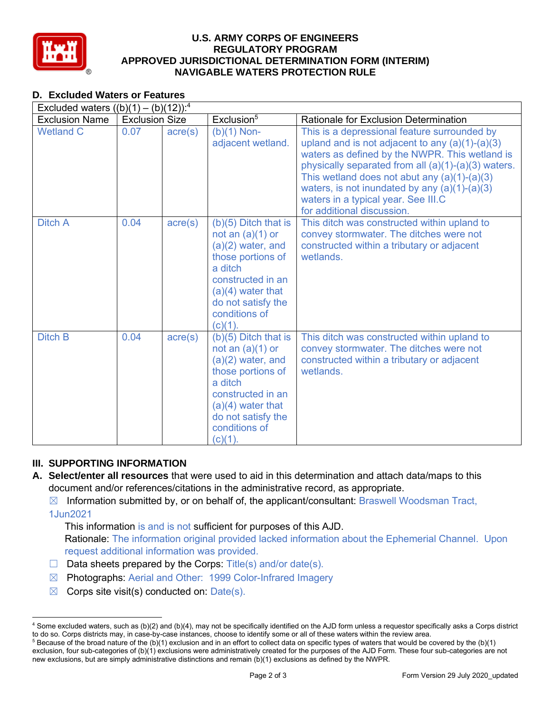

# **U.S. ARMY CORPS OF ENGINEERS APPROVED JURISDICTIONAL DETERMINATION FORM (INTERIM) NAVIGABLE WATERS PROTECTION RULE REGULATORY PROGRAM**

| <b>D. Excluded Waters or Features</b>               |                       |                  |                                                                                                                                                                                                      |                                                                                                                                                                                                                                                                                                                                                                                      |
|-----------------------------------------------------|-----------------------|------------------|------------------------------------------------------------------------------------------------------------------------------------------------------------------------------------------------------|--------------------------------------------------------------------------------------------------------------------------------------------------------------------------------------------------------------------------------------------------------------------------------------------------------------------------------------------------------------------------------------|
| Excluded waters $((b)(1) - (b)(12))$ : <sup>4</sup> |                       |                  |                                                                                                                                                                                                      |                                                                                                                                                                                                                                                                                                                                                                                      |
| <b>Exclusion Name</b>                               | <b>Exclusion Size</b> |                  | Exclusion <sup>5</sup>                                                                                                                                                                               | <b>Rationale for Exclusion Determination</b>                                                                                                                                                                                                                                                                                                                                         |
| <b>Wetland C</b>                                    | 0.07                  | $\text{acre}(s)$ | $(b)(1)$ Non-<br>adjacent wetland.                                                                                                                                                                   | This is a depressional feature surrounded by<br>upland and is not adjacent to any $(a)(1)-(a)(3)$<br>waters as defined by the NWPR. This wetland is<br>physically separated from all (a)(1)-(a)(3) waters.<br>This wetland does not abut any $(a)(1)-(a)(3)$<br>waters, is not inundated by any $(a)(1)-(a)(3)$<br>waters in a typical year. See III.C<br>for additional discussion. |
| <b>Ditch A</b>                                      | 0.04                  | $\text{acre}(s)$ | $(b)(5)$ Ditch that is<br>not an $(a)(1)$ or<br>$(a)(2)$ water, and<br>those portions of<br>a ditch<br>constructed in an<br>$(a)(4)$ water that<br>do not satisfy the<br>conditions of<br>$(c)(1)$ . | This ditch was constructed within upland to<br>convey stormwater. The ditches were not<br>constructed within a tributary or adjacent<br>wetlands.                                                                                                                                                                                                                                    |
| <b>Ditch B</b>                                      | 0.04                  | $\text{acre}(s)$ | $(b)(5)$ Ditch that is<br>not an $(a)(1)$ or<br>$(a)(2)$ water, and<br>those portions of<br>a ditch<br>constructed in an<br>$(a)(4)$ water that<br>do not satisfy the<br>conditions of<br>(c)(1).    | This ditch was constructed within upland to<br>convey stormwater. The ditches were not<br>constructed within a tributary or adjacent<br>wetlands.                                                                                                                                                                                                                                    |

# **III. SUPPORTING INFORMATION**

 **A. Select/enter all resources** that were used to aid in this determination and attach data/maps to this document and/or references/citations in the administrative record, as appropriate.

 ☒ Information submitted by, or on behalf of, the applicant/consultant: Braswell Woodsman Tract, 1Jun2021

 This information is and is not sufficient for purposes of this AJD. Rationale: The information original provided lacked information about the Ephemerial Channel. Upon

- request additional information was provided.  $\Box$  Data sheets prepared by the Corps: Title(s) and/or date(s).
- ☒ Photographs: Aerial and Other: 1999 Color-Infrared Imagery
- $\boxtimes$  Corps site visit(s) conducted on: Date(s).

 $^4$  Some excluded waters, such as (b)(2) and (b)(4), may not be specifically identified on the AJD form unless a requestor specifically asks a Corps district to do so. Corps districts may, in case-by-case instances, choose to identify some or all of these waters within the review area. to do so. Corps districts may, in case-by-case instances, choose to identify some or all of these waters within the review area.<br><sup>5</sup> Because of the broad nature of the (b)(1) exclusion and in an effort to collect data on s

 exclusion, four sub-categories of (b)(1) exclusions were administratively created for the purposes of the AJD Form. These four sub-categories are not new exclusions, but are simply administrative distinctions and remain (b)(1) exclusions as defined by the NWPR.